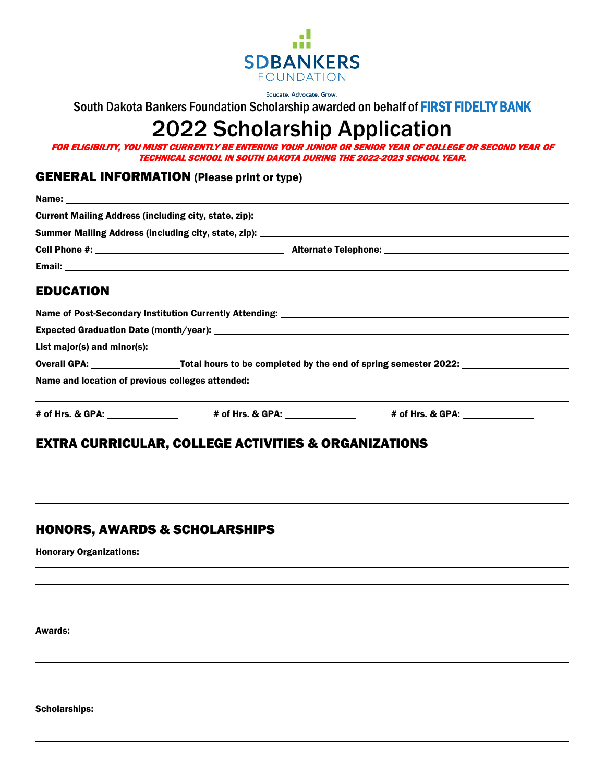

Educate. Advocate. Grow.

South Dakota Bankers Foundation Scholarship awarded on behalf of FIRST FIDELTY BANK

# 2022 Scholarship Application

FOR ELIGIBILITY, YOU MUST CURRENTLY BE ENTERING YOUR JUNIOR OR SENIOR YEAR OF COLLEGE OR SECOND YEAR OF TECHNICAL SCHOOL IN SOUTH DAKOTA DURING THE 2022-2023 SCHOOL YEAR.

## GENERAL INFORMATION (Please print or type)

| <b>EDUCATION</b> |                                                                                                                |                                                                                                                                             |
|------------------|----------------------------------------------------------------------------------------------------------------|---------------------------------------------------------------------------------------------------------------------------------------------|
|                  |                                                                                                                | Name of Post-Secondary Institution Currently Attending: Name of Alexander Annual Control of Post-Secondary Institution Currently Attending: |
|                  |                                                                                                                |                                                                                                                                             |
|                  |                                                                                                                |                                                                                                                                             |
|                  | Overall GPA: ____________________Total hours to be completed by the end of spring semester 2022: _____________ |                                                                                                                                             |
|                  |                                                                                                                |                                                                                                                                             |
|                  |                                                                                                                | # of Hrs. & GPA: _________________    # of Hrs. & GPA: ______________    # of Hrs. & GPA: ______________                                    |
|                  | <b>EXTRA CURRICULAR, COLLEGE ACTIVITIES &amp; ORGANIZATIONS</b>                                                |                                                                                                                                             |

## HONORS, AWARDS & SCHOLARSHIPS

Honorary Organizations:

Awards:

 $\overline{a}$ 

 $\overline{a}$ 

Scholarships: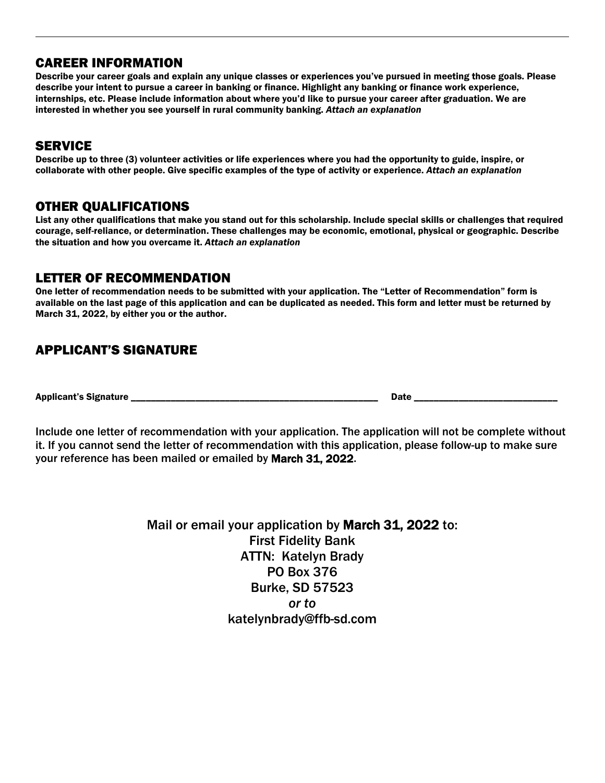## CAREER INFORMATION

Describe your career goals and explain any unique classes or experiences you've pursued in meeting those goals. Please describe your intent to pursue a career in banking or finance. Highlight any banking or finance work experience, internships, etc. Please include information about where you'd like to pursue your career after graduation. We are interested in whether you see yourself in rural community banking. *Attach an explanation*

## **SERVICE**

Describe up to three (3) volunteer activities or life experiences where you had the opportunity to guide, inspire, or collaborate with other people. Give specific examples of the type of activity or experience. *Attach an explanation*

### OTHER QUALIFICATIONS

List any other qualifications that make you stand out for this scholarship. Include special skills or challenges that required courage, self-reliance, or determination. These challenges may be economic, emotional, physical or geographic. Describe the situation and how you overcame it. *Attach an explanation*

## LETTER OF RECOMMENDATION

One letter of recommendation needs to be submitted with your application. The "Letter of Recommendation" form is available on the last page of this application and can be duplicated as needed. This form and letter must be returned by March 31, 2022, by either you or the author.

# APPLICANT'S SIGNATURE

Applicant's Signature \_\_\_\_\_\_\_\_\_\_\_\_\_\_\_\_\_\_\_\_\_\_\_\_\_\_\_\_\_\_\_\_\_\_\_\_\_\_\_\_\_\_\_\_\_\_\_\_\_\_ Date \_\_\_\_\_\_\_\_\_\_\_\_\_\_\_\_\_\_\_\_\_\_\_\_\_\_\_\_\_

Include one letter of recommendation with your application. The application will not be complete without it. If you cannot send the letter of recommendation with this application, please follow-up to make sure your reference has been mailed or emailed by March 31, 2022.

> Mail or email your application by March 31, 2022 to: First Fidelity Bank ATTN: Katelyn Brady PO Box 376 Burke, SD 57523 *or to* katelynbrady@ffb-sd.com